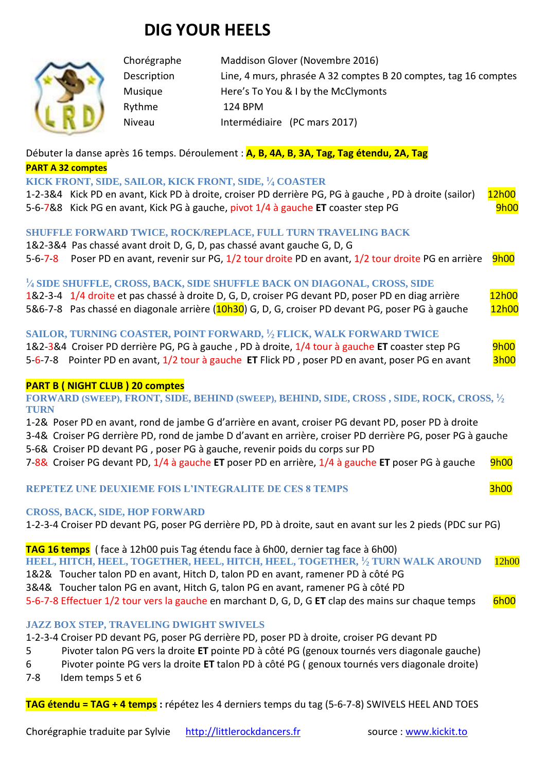# **DIG YOUR HEELS**



Chorégraphe Maddison Glover (Novembre 2016) Description Line, 4 murs, phrasée A 32 comptes B 20 comptes, tag 16 comptes Musique Here's To You & I by the McClymonts Rythme 124 BPM Niveau Intermédiaire (PC mars 2017)

# Débuter la danse après 16 temps. Déroulement : **A, B, 4A, B, 3A, Tag, Tag étendu, 2A, Tag**

#### **PART A 32 comptes**

## **KICK FRONT, SIDE, SAILOR, KICK FRONT, SIDE, <sup>1</sup> ⁄<sup>4</sup> COASTER**

1-2-3&4 Kick PD en avant, Kick PD à droite, croiser PD derrière PG, PG à gauche, PD à droite (sailor) 12h00 5-6-7&8 Kick PG en avant, Kick PG à gauche, pivot 1/4 à gauche **ET** coaster step PG 9h00

# **SHUFFLE FORWARD TWICE, ROCK/REPLACE, FULL TURN TRAVELING BACK**

1&2-3&4 Pas chassé avant droit D, G, D, pas chassé avant gauche G, D, G 5-6-7-8 Poser PD en avant, revenir sur PG, 1/2 tour droite PD en avant, 1/2 tour droite PG en arrière 9h00

# **1 ⁄<sup>4</sup> SIDE SHUFFLE, CROSS, BACK, SIDE SHUFFLE BACK ON DIAGONAL, CROSS, SIDE**

| the contract of the contract of the contract of the contract of the contract of |  |                                                                                                   |       |
|---------------------------------------------------------------------------------|--|---------------------------------------------------------------------------------------------------|-------|
|                                                                                 |  | 1&2-3-4 1/4 droite et pas chassé à droite D, G, D, croiser PG devant PD, poser PD en diag arrière | 12h00 |
|                                                                                 |  | 5&6-7-8 Pas chassé en diagonale arrière (10h30) G, D, G, croiser PD devant PG, poser PG à gauche  | 12h00 |

# **SAILOR, TURNING COASTER, POINT FORWARD, <sup>1</sup> ⁄<sup>2</sup> FLICK, WALK FORWARD TWICE**

1&2-3&4 Croiser PD derrière PG, PG à gauche , PD à droite, 1/4 tour à gauche **ET** coaster step PG 9h00 5-6-7-8 Pointer PD en avant, 1/2 tour à gauche **ET** Flick PD, poser PD en avant, poser PG en avant 3h00

## **PART B ( NIGHT CLUB ) 20 comptes**

## **FORWARD (SWEEP), FRONT, SIDE, BEHIND (SWEEP), BEHIND, SIDE, CROSS , SIDE, ROCK, CROSS, <sup>1</sup> ⁄2 TURN**

1-2& Poser PD en avant, rond de jambe G d'arrière en avant, croiser PG devant PD, poser PD à droite

3-4& Croiser PG derrière PD, rond de jambe D d'avant en arrière, croiser PD derrière PG, poser PG à gauche 5-6& Croiser PD devant PG , poser PG à gauche, revenir poids du corps sur PD

7-8& Croiser PG devant PD, 1/4 à gauche **ET** poser PD en arrière, 1/4 à gauche **ET** poser PG à gauche 9h00

# **REPETEZ UNE DEUXIEME FOIS L'INTEGRALITE DE CES 8 TEMPS** 3h00

## **CROSS, BACK, SIDE, HOP FORWARD**

1-2-3-4 Croiser PD devant PG, poser PG derrière PD, PD à droite, saut en avant sur les 2 pieds (PDC sur PG)

**TAG 16 temps** ( face à 12h00 puis Tag étendu face à 6h00, dernier tag face à 6h00) **HEEL, HITCH, HEEL, TOGETHER, HEEL, HITCH, HEEL, TOGETHER, <sup>1</sup> ⁄<sup>2</sup> TURN WALK AROUND** 12h00 1&2& Toucher talon PD en avant, Hitch D, talon PD en avant, ramener PD à côté PG 3&4& Toucher talon PG en avant, Hitch G, talon PG en avant, ramener PG à côté PD 5-6-7-8 Effectuer 1/2 tour vers la gauche en marchant D, G, D, G **ET** clap des mains sur chaque temps 6h00

# **JAZZ BOX STEP, TRAVELING DWIGHT SWIVELS**

1-2-3-4 Croiser PD devant PG, poser PG derrière PD, poser PD à droite, croiser PG devant PD

5 Pivoter talon PG vers la droite **ET** pointe PD à côté PG (genoux tournés vers diagonale gauche)

- 6 Pivoter pointe PG vers la droite **ET** talon PD à côté PG ( genoux tournés vers diagonale droite)
- 7-8 Idem temps 5 et 6

**TAG étendu = TAG + 4 temps :** répétez les 4 derniers temps du tag (5-6-7-8) SWIVELS HEEL AND TOES